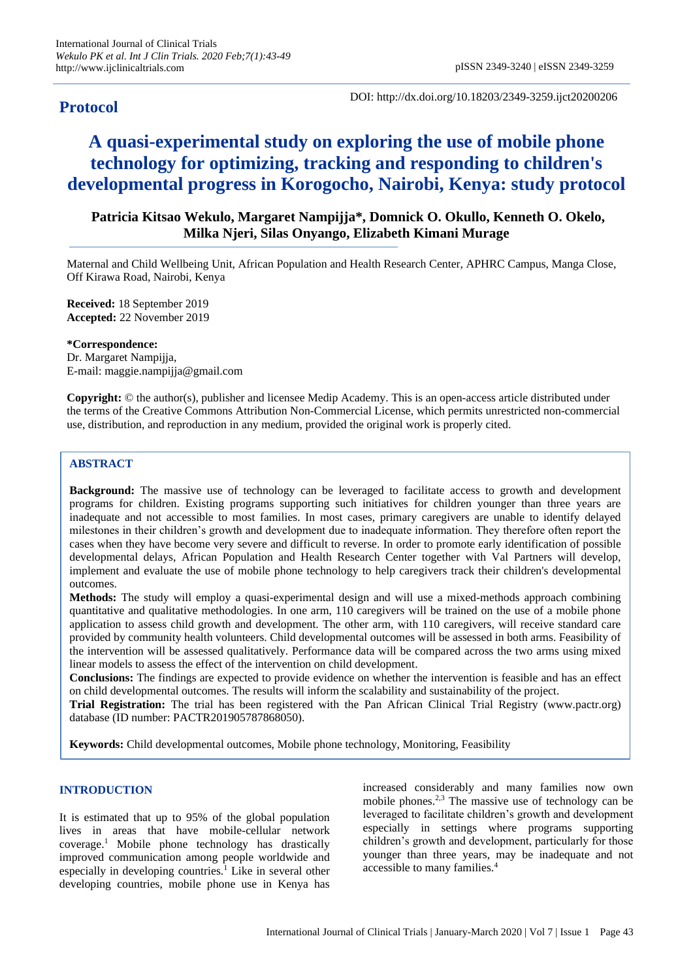# **Protocol**

DOI: http://dx.doi.org/10.18203/2349-3259.ijct20200206

# **A quasi-experimental study on exploring the use of mobile phone technology for optimizing, tracking and responding to children's developmental progress in Korogocho, Nairobi, Kenya: study protocol**

# **Patricia Kitsao Wekulo, Margaret Nampijja\*, Domnick O. Okullo, Kenneth O. Okelo, Milka Njeri, Silas Onyango, Elizabeth Kimani Murage**

Maternal and Child Wellbeing Unit, African Population and Health Research Center, APHRC Campus, Manga Close, Off Kirawa Road, Nairobi, Kenya

**Received:** 18 September 2019 **Accepted:** 22 November 2019

#### **\*Correspondence:**

Dr. Margaret Nampijja, E-mail: maggie.nampijja@gmail.com

**Copyright:** © the author(s), publisher and licensee Medip Academy. This is an open-access article distributed under the terms of the Creative Commons Attribution Non-Commercial License, which permits unrestricted non-commercial use, distribution, and reproduction in any medium, provided the original work is properly cited.

# **ABSTRACT**

**Background:** The massive use of technology can be leveraged to facilitate access to growth and development programs for children. Existing programs supporting such initiatives for children younger than three years are inadequate and not accessible to most families. In most cases, primary caregivers are unable to identify delayed milestones in their children's growth and development due to inadequate information. They therefore often report the cases when they have become very severe and difficult to reverse. In order to promote early identification of possible developmental delays, African Population and Health Research Center together with Val Partners will develop, implement and evaluate the use of mobile phone technology to help caregivers track their children's developmental outcomes.

**Methods:** The study will employ a quasi-experimental design and will use a mixed-methods approach combining quantitative and qualitative methodologies. In one arm, 110 caregivers will be trained on the use of a mobile phone application to assess child growth and development. The other arm, with 110 caregivers, will receive standard care provided by community health volunteers. Child developmental outcomes will be assessed in both arms. Feasibility of the intervention will be assessed qualitatively. Performance data will be compared across the two arms using mixed linear models to assess the effect of the intervention on child development.

**Conclusions:** The findings are expected to provide evidence on whether the intervention is feasible and has an effect on child developmental outcomes. The results will inform the scalability and sustainability of the project.

**Trial Registration:** The trial has been registered with the Pan African Clinical Trial Registry (www.pactr.org) database (ID number: PACTR201905787868050).

**Keywords:** Child developmental outcomes, Mobile phone technology, Monitoring, Feasibility

#### **INTRODUCTION**

It is estimated that up to 95% of the global population lives in areas that have mobile-cellular network coverage.<sup>1</sup> Mobile phone technology has drastically improved communication among people worldwide and especially in developing countries.<sup>1</sup> Like in several other developing countries, mobile phone use in Kenya has increased considerably and many families now own mobile phones.2,3 The massive use of technology can be leveraged to facilitate children's growth and development especially in settings where programs supporting children's growth and development, particularly for those younger than three years, may be inadequate and not accessible to many families.<sup>4</sup>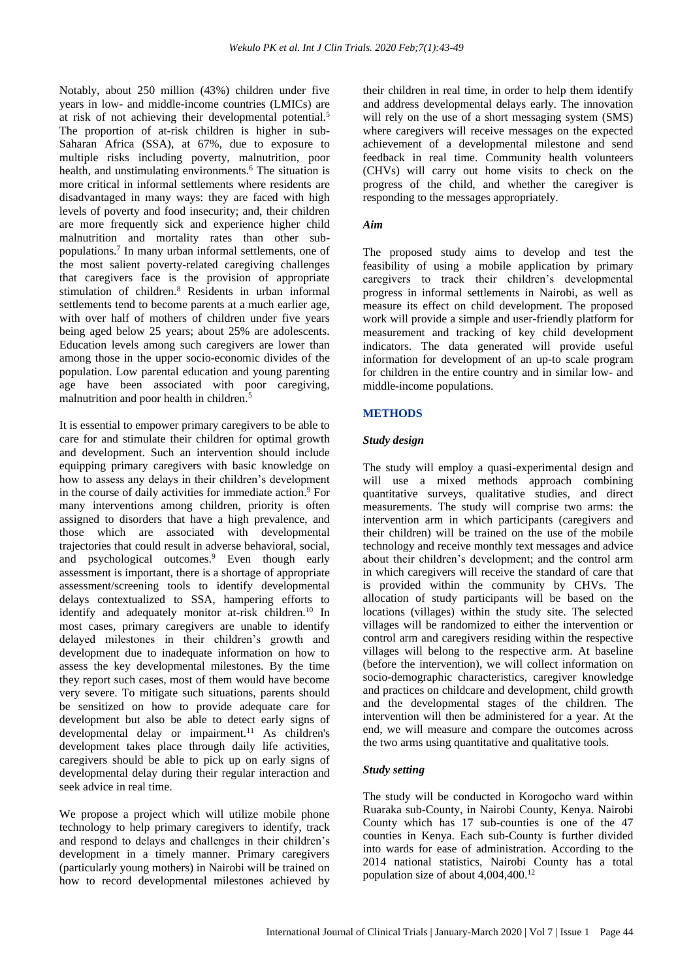Notably, about 250 million (43%) children under five years in low- and middle-income countries (LMICs) are at risk of not achieving their developmental potential.<sup>5</sup> The proportion of at-risk children is higher in sub-Saharan Africa (SSA), at 67%, due to exposure to multiple risks including poverty, malnutrition, poor health, and unstimulating environments.<sup>6</sup> The situation is more critical in informal settlements where residents are disadvantaged in many ways: they are faced with high levels of poverty and food insecurity; and, their children are more frequently sick and experience higher child malnutrition and mortality rates than other subpopulations.<sup>7</sup> In many urban informal settlements, one of the most salient poverty-related caregiving challenges that caregivers face is the provision of appropriate stimulation of children.<sup>8</sup> Residents in urban informal settlements tend to become parents at a much earlier age, with over half of mothers of children under five years being aged below 25 years; about 25% are adolescents. Education levels among such caregivers are lower than among those in the upper socio-economic divides of the population. Low parental education and young parenting age have been associated with poor caregiving, malnutrition and poor health in children.<sup>5</sup>

It is essential to empower primary caregivers to be able to care for and stimulate their children for optimal growth and development. Such an intervention should include equipping primary caregivers with basic knowledge on how to assess any delays in their children's development in the course of daily activities for immediate action. <sup>9</sup> For many interventions among children, priority is often assigned to disorders that have a high prevalence, and those which are associated with developmental trajectories that could result in adverse behavioral, social, and psychological outcomes.<sup>9</sup> Even though early assessment is important, there is a shortage of appropriate assessment/screening tools to identify developmental delays contextualized to SSA, hampering efforts to identify and adequately monitor at-risk children.<sup>10</sup> In most cases, primary caregivers are unable to identify delayed milestones in their children's growth and development due to inadequate information on how to assess the key developmental milestones. By the time they report such cases, most of them would have become very severe. To mitigate such situations, parents should be sensitized on how to provide adequate care for development but also be able to detect early signs of developmental delay or impairment.<sup>11</sup> As children's development takes place through daily life activities, caregivers should be able to pick up on early signs of developmental delay during their regular interaction and seek advice in real time.

We propose a project which will utilize mobile phone technology to help primary caregivers to identify, track and respond to delays and challenges in their children's development in a timely manner. Primary caregivers (particularly young mothers) in Nairobi will be trained on how to record developmental milestones achieved by their children in real time, in order to help them identify and address developmental delays early. The innovation will rely on the use of a short messaging system (SMS) where caregivers will receive messages on the expected achievement of a developmental milestone and send feedback in real time. Community health volunteers (CHVs) will carry out home visits to check on the progress of the child, and whether the caregiver is responding to the messages appropriately.

#### *Aim*

The proposed study aims to develop and test the feasibility of using a mobile application by primary caregivers to track their children's developmental progress in informal settlements in Nairobi, as well as measure its effect on child development. The proposed work will provide a simple and user-friendly platform for measurement and tracking of key child development indicators. The data generated will provide useful information for development of an up-to scale program for children in the entire country and in similar low- and middle-income populations.

# **METHODS**

# *Study design*

The study will employ a quasi-experimental design and will use a mixed methods approach combining quantitative surveys, qualitative studies, and direct measurements. The study will comprise two arms: the intervention arm in which participants (caregivers and their children) will be trained on the use of the mobile technology and receive monthly text messages and advice about their children's development; and the control arm in which caregivers will receive the standard of care that is provided within the community by CHVs. The allocation of study participants will be based on the locations (villages) within the study site. The selected villages will be randomized to either the intervention or control arm and caregivers residing within the respective villages will belong to the respective arm. At baseline (before the intervention), we will collect information on socio-demographic characteristics, caregiver knowledge and practices on childcare and development, child growth and the developmental stages of the children. The intervention will then be administered for a year. At the end, we will measure and compare the outcomes across the two arms using quantitative and qualitative tools.

# *Study setting*

The study will be conducted in Korogocho ward within Ruaraka sub-County, in Nairobi County, Kenya. Nairobi County which has 17 sub-counties is one of the 47 counties in Kenya. Each sub-County is further divided into wards for ease of administration. According to the 2014 national statistics, Nairobi County has a total population size of about  $4.004,400.<sup>12</sup>$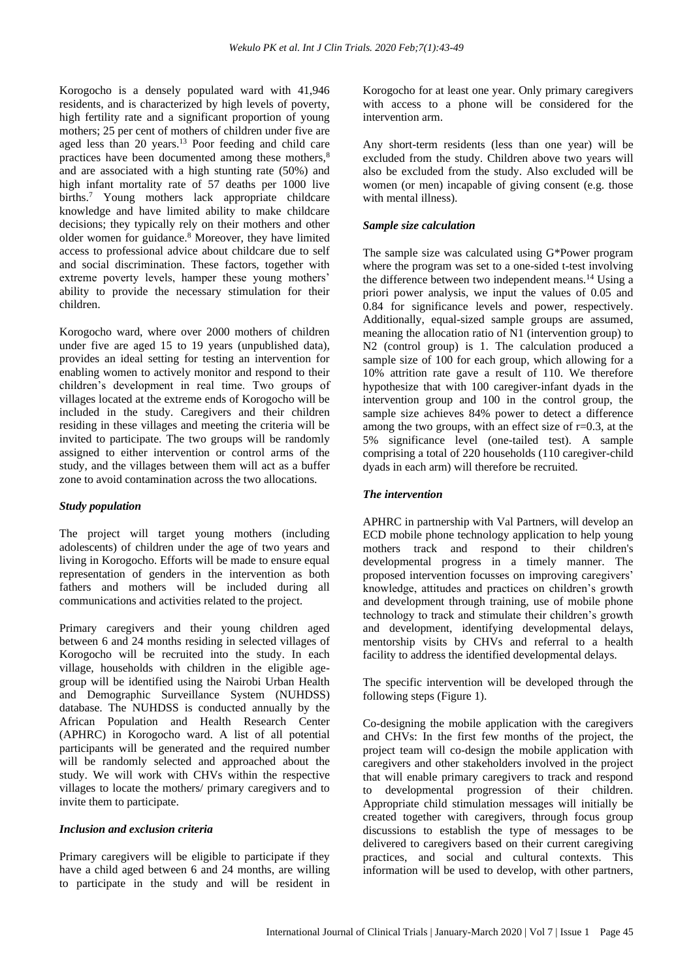Korogocho is a densely populated ward with 41,946 residents, and is characterized by high levels of poverty, high fertility rate and a significant proportion of young mothers; 25 per cent of mothers of children under five are aged less than 20 years.<sup>13</sup> Poor feeding and child care practices have been documented among these mothers,<sup>8</sup> and are associated with a high stunting rate (50%) and high infant mortality rate of 57 deaths per 1000 live births.<sup>7</sup> Young mothers lack appropriate childcare knowledge and have limited ability to make childcare decisions; they typically rely on their mothers and other older women for guidance.<sup>8</sup> Moreover, they have limited access to professional advice about childcare due to self and social discrimination. These factors, together with extreme poverty levels, hamper these young mothers' ability to provide the necessary stimulation for their children.

Korogocho ward, where over 2000 mothers of children under five are aged 15 to 19 years (unpublished data), provides an ideal setting for testing an intervention for enabling women to actively monitor and respond to their children's development in real time. Two groups of villages located at the extreme ends of Korogocho will be included in the study. Caregivers and their children residing in these villages and meeting the criteria will be invited to participate. The two groups will be randomly assigned to either intervention or control arms of the study, and the villages between them will act as a buffer zone to avoid contamination across the two allocations.

# *Study population*

The project will target young mothers (including adolescents) of children under the age of two years and living in Korogocho. Efforts will be made to ensure equal representation of genders in the intervention as both fathers and mothers will be included during all communications and activities related to the project.

Primary caregivers and their young children aged between 6 and 24 months residing in selected villages of Korogocho will be recruited into the study. In each village, households with children in the eligible agegroup will be identified using the Nairobi Urban Health and Demographic Surveillance System (NUHDSS) database. The NUHDSS is conducted annually by the African Population and Health Research Center (APHRC) in Korogocho ward. A list of all potential participants will be generated and the required number will be randomly selected and approached about the study. We will work with CHVs within the respective villages to locate the mothers/ primary caregivers and to invite them to participate.

#### *Inclusion and exclusion criteria*

Primary caregivers will be eligible to participate if they have a child aged between 6 and 24 months, are willing to participate in the study and will be resident in Korogocho for at least one year. Only primary caregivers with access to a phone will be considered for the intervention arm.

Any short-term residents (less than one year) will be excluded from the study. Children above two years will also be excluded from the study. Also excluded will be women (or men) incapable of giving consent (e.g. those with mental illness).

#### *Sample size calculation*

The sample size was calculated using G\*Power program where the program was set to a one-sided t-test involving the difference between two independent means.<sup>14</sup> Using a priori power analysis, we input the values of 0.05 and 0.84 for significance levels and power, respectively. Additionally, equal-sized sample groups are assumed, meaning the allocation ratio of N1 (intervention group) to N2 (control group) is 1. The calculation produced a sample size of 100 for each group, which allowing for a 10% attrition rate gave a result of 110. We therefore hypothesize that with 100 caregiver-infant dyads in the intervention group and 100 in the control group, the sample size achieves 84% power to detect a difference among the two groups, with an effect size of  $r=0.3$ , at the 5% significance level (one-tailed test). A sample comprising a total of 220 households (110 caregiver-child dyads in each arm) will therefore be recruited.

#### *The intervention*

APHRC in partnership with Val Partners, will develop an ECD mobile phone technology application to help young mothers track and respond to their children's developmental progress in a timely manner. The proposed intervention focusses on improving caregivers' knowledge, attitudes and practices on children's growth and development through training, use of mobile phone technology to track and stimulate their children's growth and development, identifying developmental delays, mentorship visits by CHVs and referral to a health facility to address the identified developmental delays.

The specific intervention will be developed through the following steps (Figure 1).

Co-designing the mobile application with the caregivers and CHVs: In the first few months of the project, the project team will co-design the mobile application with caregivers and other stakeholders involved in the project that will enable primary caregivers to track and respond to developmental progression of their children. Appropriate child stimulation messages will initially be created together with caregivers, through focus group discussions to establish the type of messages to be delivered to caregivers based on their current caregiving practices, and social and cultural contexts. This information will be used to develop, with other partners,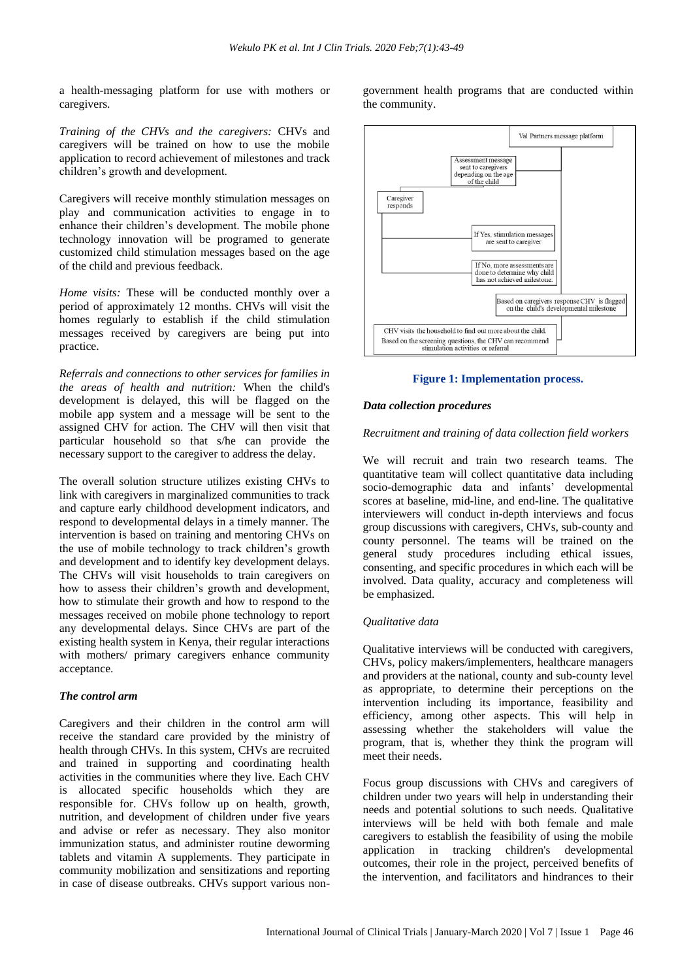a health-messaging platform for use with mothers or caregivers.

*Training of the CHVs and the caregivers:* CHVs and caregivers will be trained on how to use the mobile application to record achievement of milestones and track children's growth and development.

Caregivers will receive monthly stimulation messages on play and communication activities to engage in to enhance their children's development. The mobile phone technology innovation will be programed to generate customized child stimulation messages based on the age of the child and previous feedback.

*Home visits:* These will be conducted monthly over a period of approximately 12 months. CHVs will visit the homes regularly to establish if the child stimulation messages received by caregivers are being put into practice.

*Referrals and connections to other services for families in the areas of health and nutrition:* When the child's development is delayed, this will be flagged on the mobile app system and a message will be sent to the assigned CHV for action. The CHV will then visit that particular household so that s/he can provide the necessary support to the caregiver to address the delay.

The overall solution structure utilizes existing CHVs to link with caregivers in marginalized communities to track and capture early childhood development indicators, and respond to developmental delays in a timely manner. The intervention is based on training and mentoring CHVs on the use of mobile technology to track children's growth and development and to identify key development delays. The CHVs will visit households to train caregivers on how to assess their children's growth and development, how to stimulate their growth and how to respond to the messages received on mobile phone technology to report any developmental delays. Since CHVs are part of the existing health system in Kenya, their regular interactions with mothers/ primary caregivers enhance community acceptance.

#### *The control arm*

Caregivers and their children in the control arm will receive the standard care provided by the ministry of health through CHVs. In this system, CHVs are recruited and trained in supporting and coordinating health activities in the communities where they live. Each CHV is allocated specific households which they are responsible for. CHVs follow up on health, growth, nutrition, and development of children under five years and advise or refer as necessary. They also monitor immunization status, and administer routine deworming tablets and vitamin A supplements. They participate in community mobilization and sensitizations and reporting in case of disease outbreaks. CHVs support various nongovernment health programs that are conducted within the community.



#### **Figure 1: Implementation process.**

#### *Data collection procedures*

#### *Recruitment and training of data collection field workers*

We will recruit and train two research teams. The quantitative team will collect quantitative data including socio-demographic data and infants' developmental scores at baseline, mid-line, and end-line. The qualitative interviewers will conduct in-depth interviews and focus group discussions with caregivers, CHVs, sub-county and county personnel. The teams will be trained on the general study procedures including ethical issues, consenting, and specific procedures in which each will be involved. Data quality, accuracy and completeness will be emphasized.

#### *Qualitative data*

Qualitative interviews will be conducted with caregivers, CHVs, policy makers/implementers, healthcare managers and providers at the national, county and sub-county level as appropriate, to determine their perceptions on the intervention including its importance, feasibility and efficiency, among other aspects. This will help in assessing whether the stakeholders will value the program, that is, whether they think the program will meet their needs.

Focus group discussions with CHVs and caregivers of children under two years will help in understanding their needs and potential solutions to such needs. Qualitative interviews will be held with both female and male caregivers to establish the feasibility of using the mobile application in tracking children's developmental outcomes, their role in the project, perceived benefits of the intervention, and facilitators and hindrances to their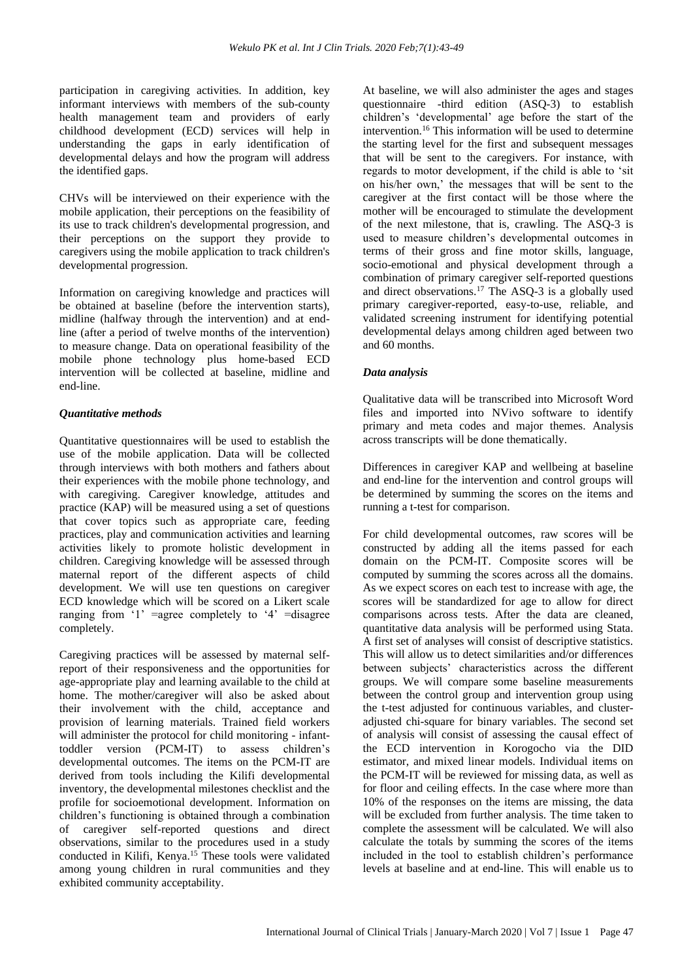participation in caregiving activities. In addition, key informant interviews with members of the sub-county health management team and providers of early childhood development (ECD) services will help in understanding the gaps in early identification of developmental delays and how the program will address the identified gaps.

CHVs will be interviewed on their experience with the mobile application, their perceptions on the feasibility of its use to track children's developmental progression, and their perceptions on the support they provide to caregivers using the mobile application to track children's developmental progression.

Information on caregiving knowledge and practices will be obtained at baseline (before the intervention starts), midline (halfway through the intervention) and at endline (after a period of twelve months of the intervention) to measure change. Data on operational feasibility of the mobile phone technology plus home-based ECD intervention will be collected at baseline, midline and end-line.

# *Quantitative methods*

Quantitative questionnaires will be used to establish the use of the mobile application. Data will be collected through interviews with both mothers and fathers about their experiences with the mobile phone technology, and with caregiving. Caregiver knowledge, attitudes and practice (KAP) will be measured using a set of questions that cover topics such as appropriate care, feeding practices, play and communication activities and learning activities likely to promote holistic development in children. Caregiving knowledge will be assessed through maternal report of the different aspects of child development. We will use ten questions on caregiver ECD knowledge which will be scored on a Likert scale ranging from '1' =agree completely to '4' =disagree completely.

Caregiving practices will be assessed by maternal selfreport of their responsiveness and the opportunities for age-appropriate play and learning available to the child at home. The mother/caregiver will also be asked about their involvement with the child, acceptance and provision of learning materials. Trained field workers will administer the protocol for child monitoring - infanttoddler version (PCM-IT) to assess children's developmental outcomes. The items on the PCM-IT are derived from tools including the Kilifi developmental inventory, the developmental milestones checklist and the profile for socioemotional development. Information on children's functioning is obtained through a combination of caregiver self-reported questions and direct observations, similar to the procedures used in a study conducted in Kilifi, Kenya.<sup>15</sup> These tools were validated among young children in rural communities and they exhibited community acceptability.

At baseline, we will also administer the ages and stages questionnaire -third edition (ASQ-3) to establish children's 'developmental' age before the start of the intervention.<sup>16</sup> This information will be used to determine the starting level for the first and subsequent messages that will be sent to the caregivers. For instance, with regards to motor development, if the child is able to 'sit on his/her own,' the messages that will be sent to the caregiver at the first contact will be those where the mother will be encouraged to stimulate the development of the next milestone, that is, crawling. The ASQ-3 is used to measure children's developmental outcomes in terms of their gross and fine motor skills, language, socio-emotional and physical development through a combination of primary caregiver self-reported questions and direct observations.<sup>17</sup> The ASQ-3 is a globally used primary caregiver-reported, easy-to-use, reliable, and validated screening instrument for identifying potential developmental delays among children aged between two and 60 months.

# *Data analysis*

Qualitative data will be transcribed into Microsoft Word files and imported into NVivo software to identify primary and meta codes and major themes. Analysis across transcripts will be done thematically.

Differences in caregiver KAP and wellbeing at baseline and end-line for the intervention and control groups will be determined by summing the scores on the items and running a t-test for comparison.

For child developmental outcomes, raw scores will be constructed by adding all the items passed for each domain on the PCM-IT. Composite scores will be computed by summing the scores across all the domains. As we expect scores on each test to increase with age, the scores will be standardized for age to allow for direct comparisons across tests. After the data are cleaned, quantitative data analysis will be performed using Stata. A first set of analyses will consist of descriptive statistics. This will allow us to detect similarities and/or differences between subjects' characteristics across the different groups. We will compare some baseline measurements between the control group and intervention group using the t-test adjusted for continuous variables, and clusteradjusted chi-square for binary variables. The second set of analysis will consist of assessing the causal effect of the ECD intervention in Korogocho via the DID estimator, and mixed linear models. Individual items on the PCM-IT will be reviewed for missing data, as well as for floor and ceiling effects. In the case where more than 10% of the responses on the items are missing, the data will be excluded from further analysis. The time taken to complete the assessment will be calculated. We will also calculate the totals by summing the scores of the items included in the tool to establish children's performance levels at baseline and at end-line. This will enable us to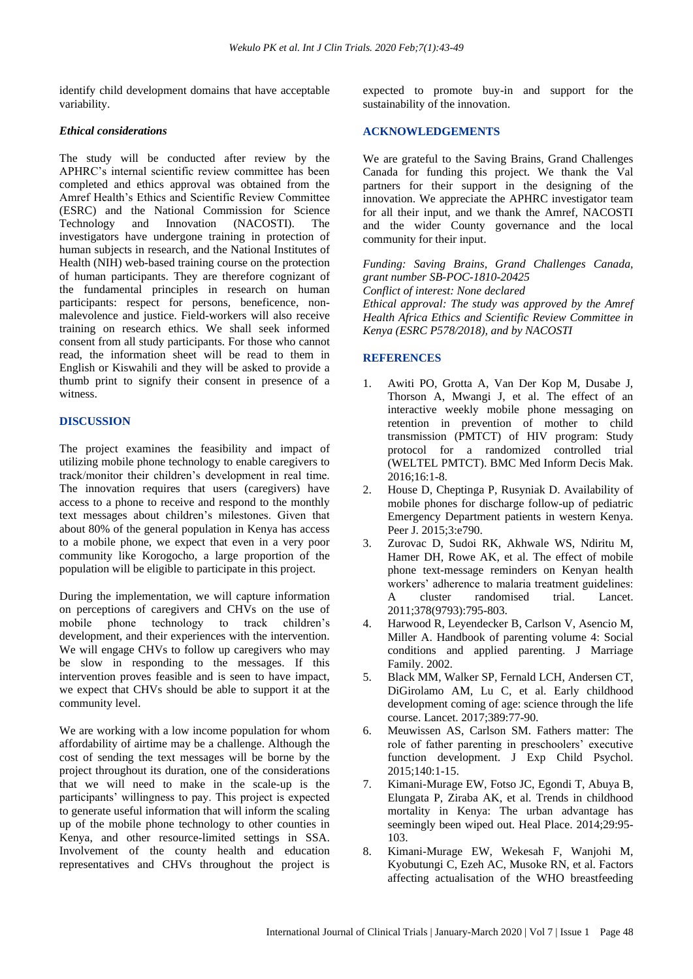identify child development domains that have acceptable variability.

#### *Ethical considerations*

The study will be conducted after review by the APHRC's internal scientific review committee has been completed and ethics approval was obtained from the Amref Health's Ethics and Scientific Review Committee (ESRC) and the National Commission for Science Technology and Innovation (NACOSTI). The investigators have undergone training in protection of human subjects in research, and the National Institutes of Health (NIH) web-based training course on the protection of human participants. They are therefore cognizant of the fundamental principles in research on human participants: respect for persons, beneficence, nonmalevolence and justice. Field-workers will also receive training on research ethics. We shall seek informed consent from all study participants. For those who cannot read, the information sheet will be read to them in English or Kiswahili and they will be asked to provide a thumb print to signify their consent in presence of a witness.

# **DISCUSSION**

The project examines the feasibility and impact of utilizing mobile phone technology to enable caregivers to track/monitor their children's development in real time. The innovation requires that users (caregivers) have access to a phone to receive and respond to the monthly text messages about children's milestones. Given that about 80% of the general population in Kenya has access to a mobile phone, we expect that even in a very poor community like Korogocho, a large proportion of the population will be eligible to participate in this project.

During the implementation, we will capture information on perceptions of caregivers and CHVs on the use of mobile phone technology to track children's development, and their experiences with the intervention. We will engage CHVs to follow up caregivers who may be slow in responding to the messages. If this intervention proves feasible and is seen to have impact, we expect that CHVs should be able to support it at the community level.

We are working with a low income population for whom affordability of airtime may be a challenge. Although the cost of sending the text messages will be borne by the project throughout its duration, one of the considerations that we will need to make in the scale-up is the participants' willingness to pay. This project is expected to generate useful information that will inform the scaling up of the mobile phone technology to other counties in Kenya, and other resource-limited settings in SSA. Involvement of the county health and education representatives and CHVs throughout the project is expected to promote buy-in and support for the sustainability of the innovation.

# **ACKNOWLEDGEMENTS**

We are grateful to the Saving Brains, Grand Challenges Canada for funding this project. We thank the Val partners for their support in the designing of the innovation. We appreciate the APHRC investigator team for all their input, and we thank the Amref, NACOSTI and the wider County governance and the local community for their input.

*Funding: Saving Brains, Grand Challenges Canada, grant number SB-POC-1810-20425 Conflict of interest: None declared Ethical approval: The study was approved by the Amref Health Africa Ethics and Scientific Review Committee in Kenya (ESRC P578/2018), and by NACOSTI*

# **REFERENCES**

- 1. Awiti PO, Grotta A, Van Der Kop M, Dusabe J, Thorson A, Mwangi J, et al. The effect of an interactive weekly mobile phone messaging on retention in prevention of mother to child transmission (PMTCT) of HIV program: Study protocol for a randomized controlled trial (WELTEL PMTCT). BMC Med Inform Decis Mak. 2016;16:1-8.
- 2. House D, Cheptinga P, Rusyniak D. Availability of mobile phones for discharge follow-up of pediatric Emergency Department patients in western Kenya. Peer J. 2015;3:e790.
- 3. Zurovac D, Sudoi RK, Akhwale WS, Ndiritu M, Hamer DH, Rowe AK, et al. The effect of mobile phone text-message reminders on Kenyan health workers' adherence to malaria treatment guidelines: A cluster randomised trial. Lancet. 2011;378(9793):795-803.
- 4. Harwood R, Leyendecker B, Carlson V, Asencio M, Miller A. Handbook of parenting volume 4: Social conditions and applied parenting. J Marriage Family. 2002.
- 5. Black MM, Walker SP, Fernald LCH, Andersen CT, DiGirolamo AM, Lu C, et al. Early childhood development coming of age: science through the life course. Lancet. 2017;389:77-90.
- 6. Meuwissen AS, Carlson SM. Fathers matter: The role of father parenting in preschoolers' executive function development. J Exp Child Psychol. 2015;140:1-15.
- 7. Kimani-Murage EW, Fotso JC, Egondi T, Abuya B, Elungata P, Ziraba AK, et al. Trends in childhood mortality in Kenya: The urban advantage has seemingly been wiped out. Heal Place. 2014;29:95- 103.
- 8. Kimani-Murage EW, Wekesah F, Wanjohi M, Kyobutungi C, Ezeh AC, Musoke RN, et al. Factors affecting actualisation of the WHO breastfeeding